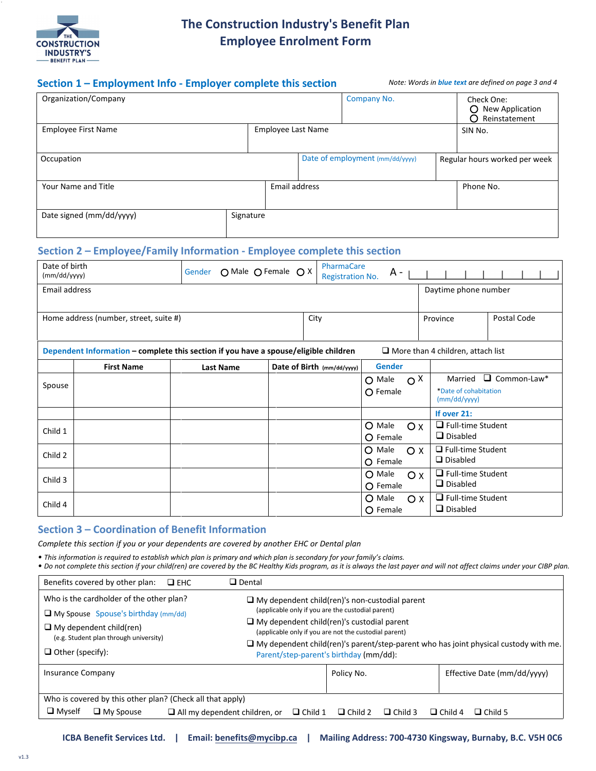

## **The Construction Industry's Benefit Plan Employee Enrolment Form**

| Section 1 - Employment Info - Employer complete this section |           |               |  | Note: Words in <b>blue text</b> are defined on page 3 and 4 |  |                                                          |  |
|--------------------------------------------------------------|-----------|---------------|--|-------------------------------------------------------------|--|----------------------------------------------------------|--|
| Organization/Company                                         |           |               |  | Company No.                                                 |  | Check One:<br>New Application<br>O<br>Reinstatement<br>∩ |  |
| <b>Employee First Name</b><br><b>Employee Last Name</b>      |           |               |  |                                                             |  | SIN No.                                                  |  |
| Occupation                                                   |           |               |  | Date of employment (mm/dd/yyyy)                             |  | Regular hours worked per week                            |  |
| Your Name and Title                                          |           | Email address |  |                                                             |  | Phone No.                                                |  |
| Date signed (mm/dd/yyyy)                                     | Signature |               |  |                                                             |  |                                                          |  |

### **Section 2 – Employee/Family Information - Employee complete this section**

| Date of birth<br>(mm/dd/yyyy)                                                        |                   | O Male O Female O X<br>Gender |  | PharmaCare<br><b>Registration No.</b> | A -           |                                          |                                       |                    |
|--------------------------------------------------------------------------------------|-------------------|-------------------------------|--|---------------------------------------|---------------|------------------------------------------|---------------------------------------|--------------------|
| Email address                                                                        |                   |                               |  |                                       |               |                                          | Daytime phone number                  |                    |
| Home address (number, street, suite #)                                               |                   |                               |  | City                                  |               |                                          | Province                              | Postal Code        |
| Dependent Information - complete this section if you have a spouse/eligible children |                   |                               |  |                                       |               | $\Box$ More than 4 children, attach list |                                       |                    |
|                                                                                      | <b>First Name</b> | <b>Last Name</b>              |  | Date of Birth (mm/dd/yyyy)            | <b>Gender</b> |                                          |                                       |                    |
| Spouse                                                                               |                   |                               |  |                                       | $O$ Male      | $O^X$                                    | Married                               | $\Box$ Common-Law* |
|                                                                                      |                   |                               |  |                                       | O Female      |                                          | *Date of cohabitation<br>(mm/dd/yyyy) |                    |
|                                                                                      |                   |                               |  |                                       |               |                                          | If over 21:                           |                    |
| Child 1                                                                              |                   |                               |  |                                       | O Male        | O X                                      | $\Box$ Full-time Student              |                    |
|                                                                                      |                   |                               |  |                                       | O Female      |                                          | $\Box$ Disabled                       |                    |
| Child 2                                                                              |                   |                               |  |                                       | O Male        | O X                                      | $\Box$ Full-time Student              |                    |
|                                                                                      |                   |                               |  |                                       | O Female      |                                          | $\Box$ Disabled                       |                    |
| Child 3                                                                              |                   |                               |  |                                       | O Male        | O X                                      | $\Box$ Full-time Student              |                    |
|                                                                                      |                   |                               |  |                                       | $O$ Female    |                                          | $\Box$ Disabled                       |                    |
| Child 4                                                                              |                   |                               |  |                                       | O Male        | O X                                      | $\Box$ Full-time Student              |                    |
|                                                                                      |                   |                               |  |                                       | O Female      |                                          | $\Box$ Disabled                       |                    |

### **Section 3 – Coordination of Benefit Information**

*Complete this section if you or your dependents are covered by another EHC or Dental plan*

*• This information is required to establish which plan is primary and which plan is secondary for your family's claims.*

*• Do not complete this section if your child(ren) are covered by the BC Healthy Kids program, as it is always the last payer and will not affect claims under your CIBP plan.*

|                          | Benefits covered by other plan:                                          | $\square$ EHC | $\Box$ Dental                                                                                                                                                                                                                                                                                            |                |                |                                                       |                                  |
|--------------------------|--------------------------------------------------------------------------|---------------|----------------------------------------------------------------------------------------------------------------------------------------------------------------------------------------------------------------------------------------------------------------------------------------------------------|----------------|----------------|-------------------------------------------------------|----------------------------------|
|                          | Who is the cardholder of the other plan?                                 |               |                                                                                                                                                                                                                                                                                                          |                |                | $\Box$ My dependent child(ren)'s non-custodial parent |                                  |
|                          | $\Box$ My Spouse Spouse's birthday (mm/dd)                               |               | (applicable only if you are the custodial parent)<br>$\Box$ My dependent child(ren)'s custodial parent<br>(applicable only if you are not the custodial parent)<br>$\Box$ My dependent child(ren)'s parent/step-parent who has joint physical custody with me.<br>Parent/step-parent's birthday (mm/dd): |                |                |                                                       |                                  |
|                          | $\Box$ My dependent child(ren)<br>(e.g. Student plan through university) |               |                                                                                                                                                                                                                                                                                                          |                |                |                                                       |                                  |
|                          |                                                                          |               |                                                                                                                                                                                                                                                                                                          |                |                |                                                       |                                  |
| $\Box$ Other (specify):  |                                                                          |               |                                                                                                                                                                                                                                                                                                          |                |                |                                                       |                                  |
| <b>Insurance Company</b> |                                                                          |               |                                                                                                                                                                                                                                                                                                          |                | Policy No.     |                                                       | Effective Date (mm/dd/vyyy)      |
|                          |                                                                          |               |                                                                                                                                                                                                                                                                                                          |                |                |                                                       |                                  |
|                          | Who is covered by this other plan? (Check all that apply)                |               |                                                                                                                                                                                                                                                                                                          |                |                |                                                       |                                  |
| $\Box$ Myself            | $\Box$ My Spouse                                                         |               | $\Box$ All my dependent children, or                                                                                                                                                                                                                                                                     | $\Box$ Child 1 | $\Box$ Child 2 | $\Box$ Child 3                                        | $\Box$ Child 5<br>$\Box$ Child 4 |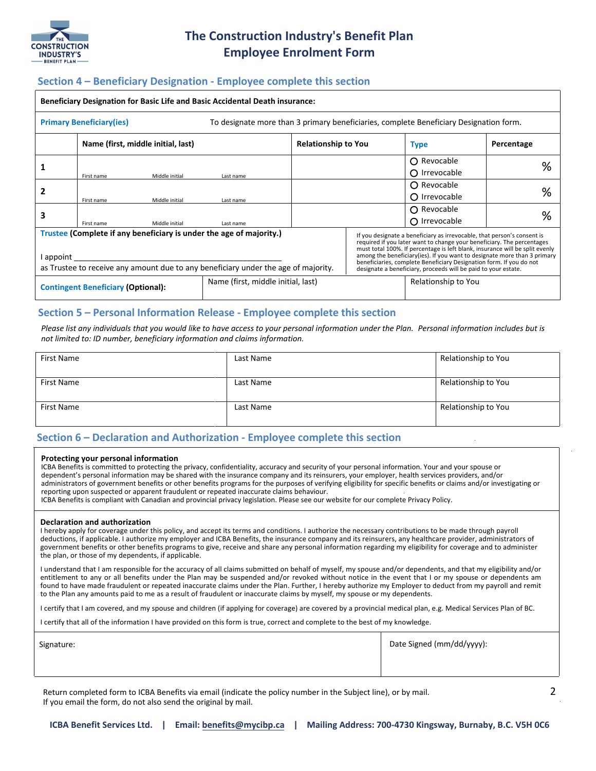

# **The Construction Industry's Benefit Plan Employee Enrolment Form**

### **Section 4 – Beneficiary Designation - Employee complete this section**

| <b>Beneficiary Designation for Basic Life and Basic Accidental Death insurance:</b>                                                                                  |            |                                    |           |                            |                                                                                                                                                                                                                                                                                                                                                                                                                                                         |                      |            |
|----------------------------------------------------------------------------------------------------------------------------------------------------------------------|------------|------------------------------------|-----------|----------------------------|---------------------------------------------------------------------------------------------------------------------------------------------------------------------------------------------------------------------------------------------------------------------------------------------------------------------------------------------------------------------------------------------------------------------------------------------------------|----------------------|------------|
| To designate more than 3 primary beneficiaries, complete Beneficiary Designation form.<br><b>Primary Beneficiary (ies)</b>                                           |            |                                    |           |                            |                                                                                                                                                                                                                                                                                                                                                                                                                                                         |                      |            |
|                                                                                                                                                                      |            | Name (first, middle initial, last) |           | <b>Relationship to You</b> |                                                                                                                                                                                                                                                                                                                                                                                                                                                         | <b>Type</b>          | Percentage |
|                                                                                                                                                                      |            |                                    |           |                            |                                                                                                                                                                                                                                                                                                                                                                                                                                                         | ∩ Revocable          | %          |
|                                                                                                                                                                      | First name | Middle initial                     | Last name |                            |                                                                                                                                                                                                                                                                                                                                                                                                                                                         | $\Omega$ Irrevocable |            |
|                                                                                                                                                                      |            |                                    |           |                            |                                                                                                                                                                                                                                                                                                                                                                                                                                                         | $\Omega$ Revocable   |            |
|                                                                                                                                                                      | First name | Middle initial                     | Last name |                            |                                                                                                                                                                                                                                                                                                                                                                                                                                                         | $\Omega$ Irrevocable | %          |
| 3                                                                                                                                                                    |            |                                    |           |                            |                                                                                                                                                                                                                                                                                                                                                                                                                                                         | $\bigcap$ Revocable  | %          |
|                                                                                                                                                                      | First name | Middle initial                     | Last name |                            |                                                                                                                                                                                                                                                                                                                                                                                                                                                         | O Irrevocable        |            |
| Trustee (Complete if any beneficiary is under the age of majority.)<br>appoint<br>as Trustee to receive any amount due to any beneficiary under the age of majority. |            |                                    |           |                            | If you designate a beneficiary as irrevocable, that person's consent is<br>required if you later want to change your beneficiary. The percentages<br>must total 100%. If percentage is left blank, insurance will be split evenly<br>among the beneficiary (ies). If you want to designate more than 3 primary<br>beneficiaries, complete Beneficiary Designation form. If you do not<br>designate a beneficiary, proceeds will be paid to your estate. |                      |            |
| Name (first, middle initial, last)<br><b>Contingent Beneficiary (Optional):</b>                                                                                      |            |                                    |           |                            | Relationship to You                                                                                                                                                                                                                                                                                                                                                                                                                                     |                      |            |

#### **Section 5 – Personal Information Release - Employee complete this section**

*Please list any individuals that you would like to have access to your personal information under the Plan. Personal information includes but is not limited to: ID number, beneficiary information and claims information.* 

| First Name | Last Name | Relationship to You |
|------------|-----------|---------------------|
| First Name | Last Name | Relationship to You |
| First Name | Last Name | Relationship to You |

#### **Section 6 – Declaration and Authorization - Employee complete this section**

#### **Protecting your personal information**

ICBA Benefits is committed to protecting the privacy, confidentiality, accuracy and security of your personal information. Your and your spouse or dependent's personal information may be shared with the insurance company and its reinsurers, your employer, health services providers, and/or administrators of government benefits or other benefits programs for the purposes of verifying eligibility for specific benefits or claims and/or investigating or reporting upon suspected or apparent fraudulent or repeated inaccurate claims behaviour.

ICBA Benefits is compliant with Canadian and provincial privacy legislation. Please see our website for our complete Privacy Policy.

#### **Declaration and authorization**

I hereby apply for coverage under this policy, and accept its terms and conditions. I authorize the necessary contributions to be made through payroll deductions, if applicable. I authorize my employer and ICBA Benefits, the insurance company and its reinsurers, any healthcare provider, administrators of government benefits or other benefits programs to give, receive and share any personal information regarding my eligibility for coverage and to administer the plan, or those of my dependents, if applicable.

I understand that I am responsible for the accuracy of all claims submitted on behalf of myself, my spouse and/or dependents, and that my eligibility and/or entitlement to any or all benefits under the Plan may be suspended and/or revoked without notice in the event that I or my spouse or dependents am found to have made fraudulent or repeated inaccurate claims under the Plan. Further, I hereby authorize my Employer to deduct from my payroll and remit to the Plan any amounts paid to me as a result of fraudulent or inaccurate claims by myself, my spouse or my dependents.

I certify that I am covered, and my spouse and children (if applying for coverage) are covered by a provincial medical plan, e.g. Medical Services Plan of BC.

I certify that all of the information I have provided on this form is true, correct and complete to the best of my knowledge.

| Signature: | Date Signed (mm/dd/yyyy): |
|------------|---------------------------|
|            |                           |

Return completed form to ICBA Benefits via email (indicate the policy number in the Subject line), or by mail. If you email the form, do not also send the original by mail.